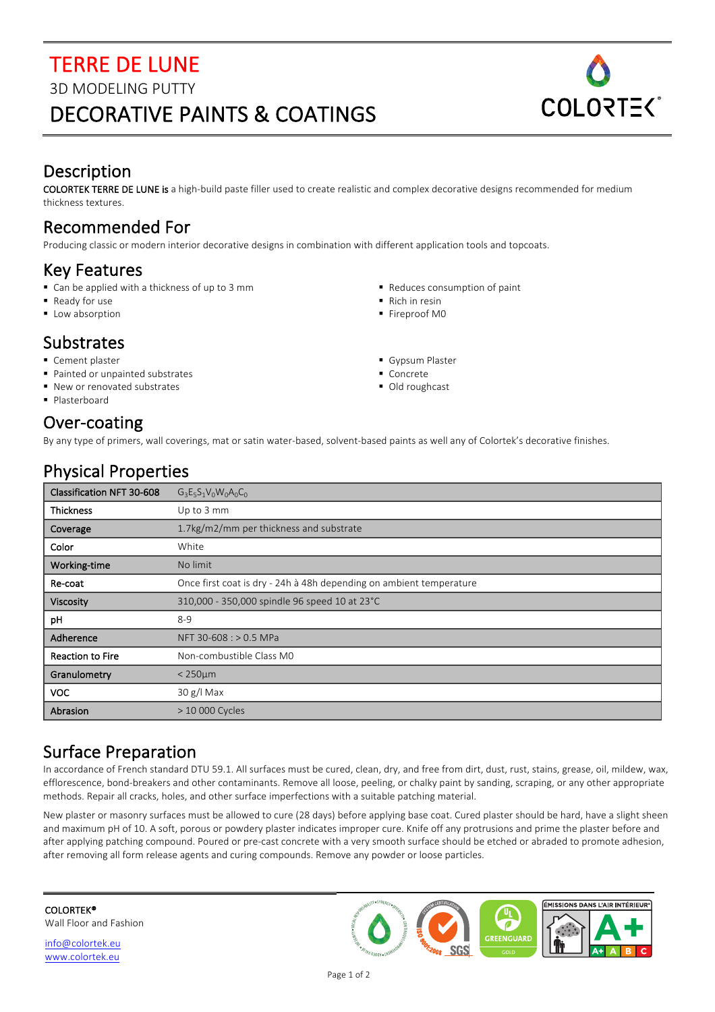# **TERRE DE LUNE** 3D MODELING PUTTY DECORATIVE PAINTS & COATINGS



### Description

COLORTEK TERRE DE LUNE is a high-build paste filler used to create realistic and complex decorative designs recommended for medium thickness textures.

### Recommended For

Producing classic or modern interior decorative designs in combination with different application tools and topcoats.

#### Key Features

- Can be applied with a thickness of up to 3 mm
- Ready for use
- Low absorption

#### **Substrates**

- Cement plaster
- Painted or unpainted substrates
- New or renovated substrates
- § Plasterboard

#### Over-coating

- Reduces consumption of paint
- Rich in resin
- Fireproof M0
- Gypsum Plaster
- Concrete
- Old roughcast

By any type of primers, wall coverings, mat or satin water-based, solvent-based paints as well any of Colortek's decorative finishes.

| <b>Physical Properties</b> |
|----------------------------|
|----------------------------|

| Classification NFT 30-608 | $G_3E_5S_1V_0W_0A_0C_0$                                             |
|---------------------------|---------------------------------------------------------------------|
| <b>Thickness</b>          | Up to 3 mm                                                          |
| Coverage                  | 1.7kg/m2/mm per thickness and substrate                             |
| Color                     | White                                                               |
| Working-time              | No limit                                                            |
| Re-coat                   | Once first coat is dry - 24h à 48h depending on ambient temperature |
| <b>Viscosity</b>          | 310,000 - 350,000 spindle 96 speed 10 at 23°C                       |
| pH                        | $8 - 9$                                                             |
| Adherence                 | NFT 30-608 : > 0.5 MPa                                              |
| <b>Reaction to Fire</b>   | Non-combustible Class M0                                            |
| Granulometry              | $<$ 250 $\mu$ m                                                     |
| <b>VOC</b>                | $30 g/l$ Max                                                        |
| Abrasion                  | > 10 000 Cycles                                                     |

## Surface Preparation

In accordance of French standard DTU 59.1. All surfaces must be cured, clean, dry, and free from dirt, dust, rust, stains, grease, oil, mildew, wax, efflorescence, bond-breakers and other contaminants. Remove all loose, peeling, or chalky paint by sanding, scraping, or any other appropriate methods. Repair all cracks, holes, and other surface imperfections with a suitable patching material.

New plaster or masonry surfaces must be allowed to cure (28 days) before applying base coat. Cured plaster should be hard, have a slight sheen and maximum pH of 10. A soft, porous or powdery plaster indicates improper cure. Knife off any protrusions and prime the plaster before and after applying patching compound. Poured or pre-cast concrete with a very smooth surface should be etched or abraded to promote adhesion, after removing all form release agents and curing compounds. Remove any powder or loose particles.

COLORTEK® Wall Floor and Fashion

info@colortek.eu www.colortek.eu